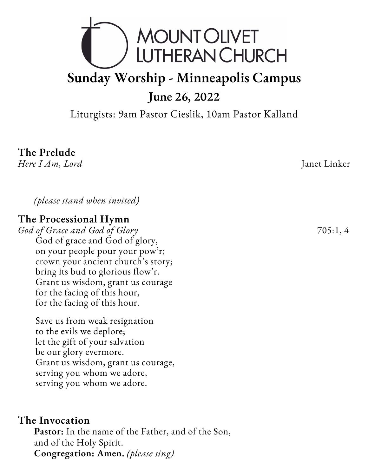

Liturgists: 9am Pastor Cieslik, 10am Pastor Kalland

# **The Prelude**

*Here I Am, Lord* Janet Linker

*(please stand when invited)*

#### **The Processional Hymn**

*God of Grace and God of Glory* 705:1, 4 God of grace and God of glory, on your people pour your pow'r; crown your ancient church's story; bring its bud to glorious flow'r. Grant us wisdom, grant us courage for the facing of this hour, for the facing of this hour.

Save us from weak resignation to the evils we deplore; let the gift of your salvation be our glory evermore. Grant us wisdom, grant us courage, serving you whom we adore, serving you whom we adore.

#### **The Invocation**

**Pastor:** In the name of the Father, and of the Son, and of the Holy Spirit. **Congregation: Amen.** *(please sing)*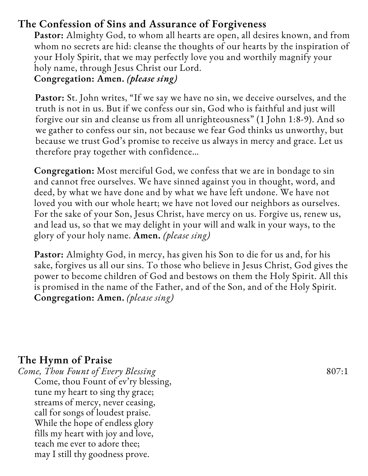# **The Confession of Sins and Assurance of Forgiveness**

**Pastor:** Almighty God, to whom all hearts are open, all desires known, and from whom no secrets are hid: cleanse the thoughts of our hearts by the inspiration of your Holy Spirit, that we may perfectly love you and worthily magnify your holy name, through Jesus Christ our Lord. **Congregation: Amen.** *(please sing)*

**Pastor:** St. John writes, "If we say we have no sin, we deceive ourselves, and the truth is not in us. But if we confess our sin, God who is faithful and just will forgive our sin and cleanse us from all unrighteousness" (1 John 1:8-9). And so we gather to confess our sin, not because we fear God thinks us unworthy, but because we trust God's promise to receive us always in mercy and grace. Let us therefore pray together with confidence…

**Congregation:** Most merciful God, we confess that we are in bondage to sin and cannot free ourselves. We have sinned against you in thought, word, and deed, by what we have done and by what we have left undone. We have not loved you with our whole heart; we have not loved our neighbors as ourselves. For the sake of your Son, Jesus Christ, have mercy on us. Forgive us, renew us, and lead us, so that we may delight in your will and walk in your ways, to the glory of your holy name. **Amen.** *(please sing)*

**Pastor:** Almighty God, in mercy, has given his Son to die for us and, for his sake, forgives us all our sins. To those who believe in Jesus Christ, God gives the power to become children of God and bestows on them the Holy Spirit. All this is promised in the name of the Father, and of the Son, and of the Holy Spirit. **Congregation: Amen.** *(please sing)*

# **The Hymn of Praise**

*Come, Thou Fount of Every Blessing* 807:1 Come, thou Fount of ev'ry blessing, tune my heart to sing thy grace; streams of mercy, never ceasing, call for songs of loudest praise. While the hope of endless glory fills my heart with joy and love, teach me ever to adore thee; may I still thy goodness prove.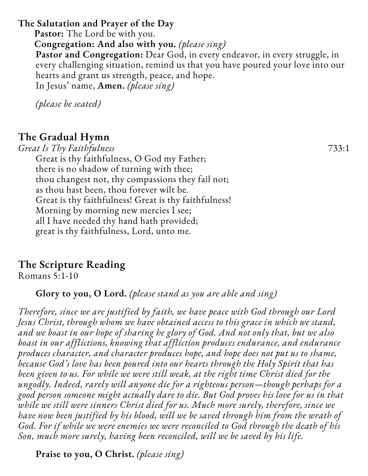**The Salutation and Prayer of the Day Pastor:** The Lord be with you. **Congregation: And also with you.** *(please sing)* **Pastor and Congregation:** Dear God, in every endeavor, in every struggle, in every challenging situation, remind us that you have poured your love into our hearts and grant us strength, peace, and hope. In Jesus' name, **Amen.** *(please sing)*

*(please be seated)*

# **The Gradual Hymn**

*Great Is Thy Faithfulness* 733:1 Great is thy faithfulness, O God my Father; there is no shadow of turning with thee; thou changest not, thy compassions they fail not; as thou hast been, thou forever wilt be. Great is thy faithfulness! Great is thy faithfulness! Morning by morning new mercies I see; all I have needed thy hand hath provided; great is thy faithfulness, Lord, unto me.

# **The Scripture Reading**

Romans 5:1-10

**Glory to you, O Lord.** *(please stand as you are able and sing)*

*Therefore, since we are justified by faith, we have peace with God through our Lord Jesus Christ, through whom we have obtained access to this grace in which we stand, and we boast in our hope of sharing he glory of God. And not only that, but we also boast in our afflictions, knowing that affliction produces endurance, and endurance produces character, and character produces hope, and hope does not put us to shame, because God's love has been poured into our hearts through the Holy Spirit that has been given to us. For while we were still weak, at the right time Christ died for the ungodly. Indeed, rarely will anyone die for a righteous person—though perhaps for a good person someone might actually dare to die. But God proves his love for us in that while we still were sinners Christ died for us. Much more surely, therefore, since we have now been justified by his blood, will we be saved through him from the wrath of God. For if while we were enemies we were reconciled to God through the death of his Son, much more surely, having been reconciled, will we be saved by his life.*

**Praise to you, O Christ.** *(please sing)*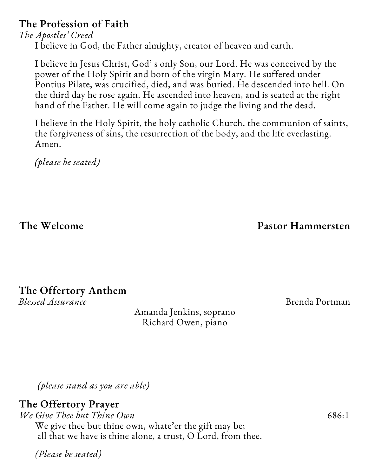# **The Profession of Faith**

*The Apostles' Creed* I believe in God, the Father almighty, creator of heaven and earth.

I believe in Jesus Christ, God' s only Son, our Lord. He was conceived by the power of the Holy Spirit and born of the virgin Mary. He suffered under Pontius Pilate, was crucified, died, and was buried. He descended into hell. On the third day he rose again. He ascended into heaven, and is seated at the right hand of the Father. He will come again to judge the living and the dead.

I believe in the Holy Spirit, the holy catholic Church, the communion of saints, the forgiveness of sins, the resurrection of the body, and the life everlasting. Amen.

*(please be seated)*

**The Welcome Pastor Hammersten**

#### **The Offertory Anthem** *Blessed Assurance* Brenda Portman

Amanda Jenkins, soprano Richard Owen, piano

*(please stand as you are able)*

# **The Offertory Prayer**

*We Give Thee but Thine Own* 686:1 We give thee but thine own, whate'er the gift may be; all that we have is thine alone, a trust, O Lord, from thee.

*(Please be seated)*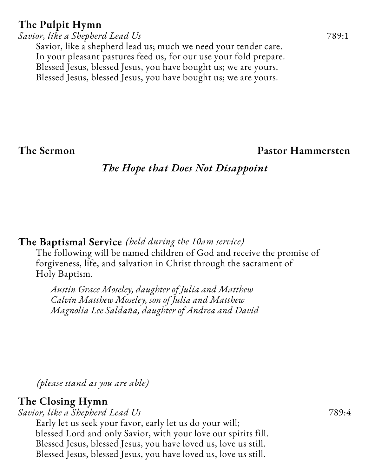# **The Pulpit Hymn**

*Savior, like a Shepherd Lead Us* 789:1 Savior, like a shepherd lead us; much we need your tender care. In your pleasant pastures feed us, for our use your fold prepare. Blessed Jesus, blessed Jesus, you have bought us; we are yours. Blessed Jesus, blessed Jesus, you have bought us; we are yours.

### **The Sermon Pastor Hammersten**

# *The Hope that Does Not Disappoint*

### **The Baptismal Service** *(held during the 10am service)*

The following will be named children of God and receive the promise of forgiveness, life, and salvation in Christ through the sacrament of Holy Baptism.

*Austin Grace Moseley, daughter of Julia and Matthew Calvin Matthew Moseley, son of Julia and Matthew Magnolia Lee Saldaña, daughter of Andrea and David*

*(please stand as you are able)*

# **The Closing Hymn**

*Savior, like a Shepherd Lead Us* 789:4

Early let us seek your favor, early let us do your will; blessed Lord and only Savior, with your love our spirits fill. Blessed Jesus, blessed Jesus, you have loved us, love us still. Blessed Jesus, blessed Jesus, you have loved us, love us still.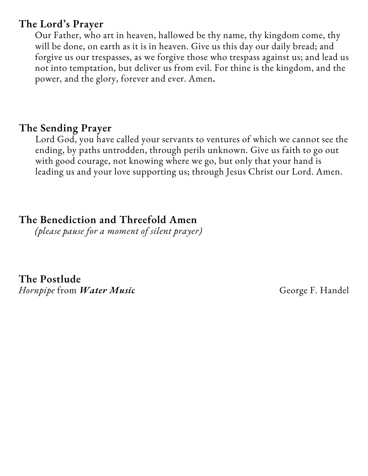# **The Lord's Prayer**

Our Father, who art in heaven, hallowed be thy name, thy kingdom come, thy will be done, on earth as it is in heaven. Give us this day our daily bread; and forgive us our trespasses, as we forgive those who trespass against us; and lead us not into temptation, but deliver us from evil. For thine is the kingdom, and the power, and the glory, forever and ever. Amen**.**

# **The Sending Prayer**

Lord God, you have called your servants to ventures of which we cannot see the ending, by paths untrodden, through perils unknown. Give us faith to go out with good courage, not knowing where we go, but only that your hand is leading us and your love supporting us; through Jesus Christ our Lord. Amen.

# **The Benediction and Threefold Amen**

*(please pause for a moment of silent prayer)*

**The Postlude** *Hornpipe* from *Water Music* George F. Handel